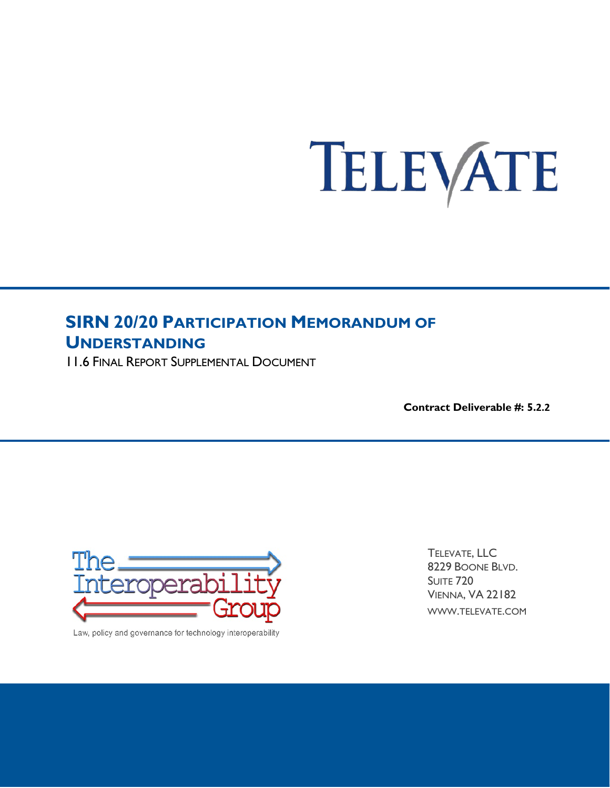# TELEVATE

# **SIRN 20/20 PARTICIPATION MEMORANDUM OF UNDERSTANDING**

11.6 FINAL REPORT SUPPLEMENTAL DOCUMENT

**Contract Deliverable #: 5.2.2**



Law, policy and governance for technology interoperability

TELEVATE, LLC 8229 BOONE BLVD. SUITE 720 VIENNA, VA 22182 WWW.TELEVATE.COM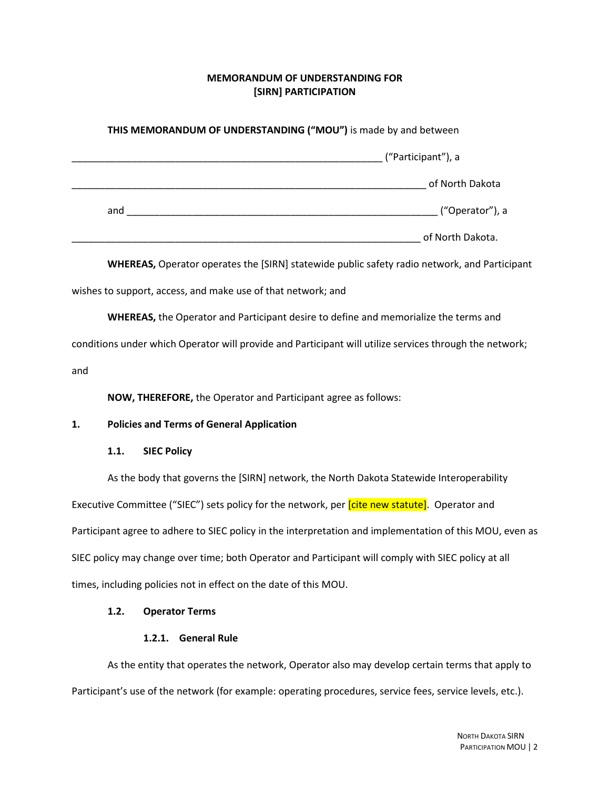# **MEMORANDUM OF UNDERSTANDING FOR [SIRN] PARTICIPATION**

| THIS MEMORANDUM OF UNDERSTANDING ("MOU") is made by and between |                                                  |                    |                                                                                                          |  |
|-----------------------------------------------------------------|--------------------------------------------------|--------------------|----------------------------------------------------------------------------------------------------------|--|
|                                                                 |                                                  |                    |                                                                                                          |  |
|                                                                 |                                                  |                    |                                                                                                          |  |
|                                                                 |                                                  |                    | ("Operator"), a                                                                                          |  |
|                                                                 |                                                  |                    |                                                                                                          |  |
|                                                                 |                                                  |                    | <b>WHEREAS, Operator operates the [SIRN] statewide public safety radio network, and Participant</b>      |  |
|                                                                 |                                                  |                    | wishes to support, access, and make use of that network; and                                             |  |
|                                                                 |                                                  |                    | <b>WHEREAS, the Operator and Participant desire to define and memorialize the terms and</b>              |  |
|                                                                 |                                                  |                    | conditions under which Operator will provide and Participant will utilize services through the network;  |  |
| and                                                             |                                                  |                    |                                                                                                          |  |
|                                                                 |                                                  |                    | NOW, THEREFORE, the Operator and Participant agree as follows:                                           |  |
| 1.                                                              | <b>Policies and Terms of General Application</b> |                    |                                                                                                          |  |
|                                                                 | 1.1.                                             | <b>SIEC Policy</b> |                                                                                                          |  |
|                                                                 |                                                  |                    | As the body that governs the [SIRN] network, the North Dakota Statewide Interoperability                 |  |
|                                                                 |                                                  |                    | Executive Committee ("SIEC") sets policy for the network, per [cite new statute]. Operator and           |  |
|                                                                 |                                                  |                    | Participant agree to adhere to SIEC policy in the interpretation and implementation of this MOU, even as |  |
|                                                                 |                                                  |                    | SIEC policy may change over time; both Operator and Participant will comply with SIEC policy at all      |  |
|                                                                 |                                                  |                    | times, including policies not in effect on the date of this MOU.                                         |  |
|                                                                 | 1.2.                                             |                    | <b>Operator Terms</b>                                                                                    |  |
|                                                                 |                                                  |                    | 1.2.1. General Rule                                                                                      |  |

As the entity that operates the network, Operator also may develop certain terms that apply to Participant's use of the network (for example: operating procedures, service fees, service levels, etc.).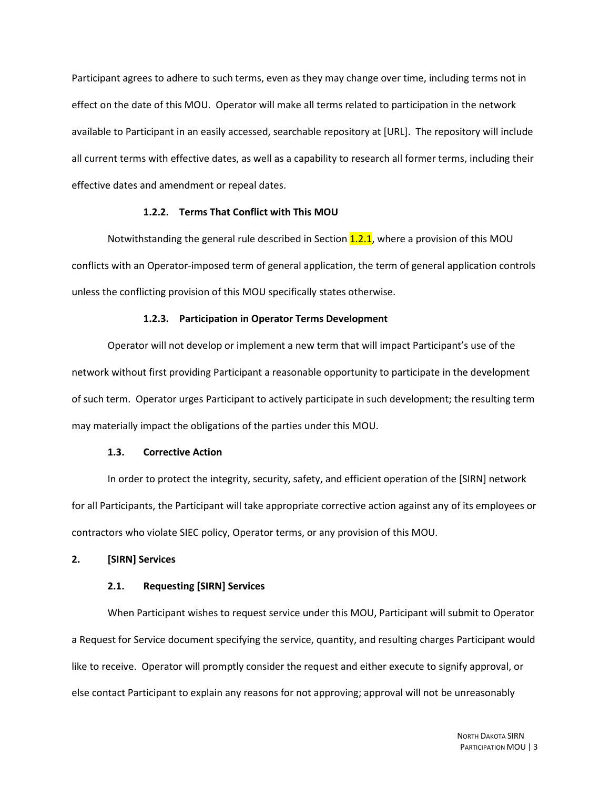Participant agrees to adhere to such terms, even as they may change over time, including terms not in effect on the date of this MOU. Operator will make all terms related to participation in the network available to Participant in an easily accessed, searchable repository at [URL]. The repository will include all current terms with effective dates, as well as a capability to research all former terms, including their effective dates and amendment or repeal dates.

#### **1.2.2. Terms That Conflict with This MOU**

Notwithstanding the general rule described in Section  $1.2.1$ , where a provision of this MOU conflicts with an Operator-imposed term of general application, the term of general application controls unless the conflicting provision of this MOU specifically states otherwise.

#### **1.2.3. Participation in Operator Terms Development**

Operator will not develop or implement a new term that will impact Participant's use of the network without first providing Participant a reasonable opportunity to participate in the development of such term. Operator urges Participant to actively participate in such development; the resulting term may materially impact the obligations of the parties under this MOU.

#### **1.3. Corrective Action**

In order to protect the integrity, security, safety, and efficient operation of the [SIRN] network for all Participants, the Participant will take appropriate corrective action against any of its employees or contractors who violate SIEC policy, Operator terms, or any provision of this MOU.

#### **2. [SIRN] Services**

#### **2.1. Requesting [SIRN] Services**

When Participant wishes to request service under this MOU, Participant will submit to Operator a Request for Service document specifying the service, quantity, and resulting charges Participant would like to receive. Operator will promptly consider the request and either execute to signify approval, or else contact Participant to explain any reasons for not approving; approval will not be unreasonably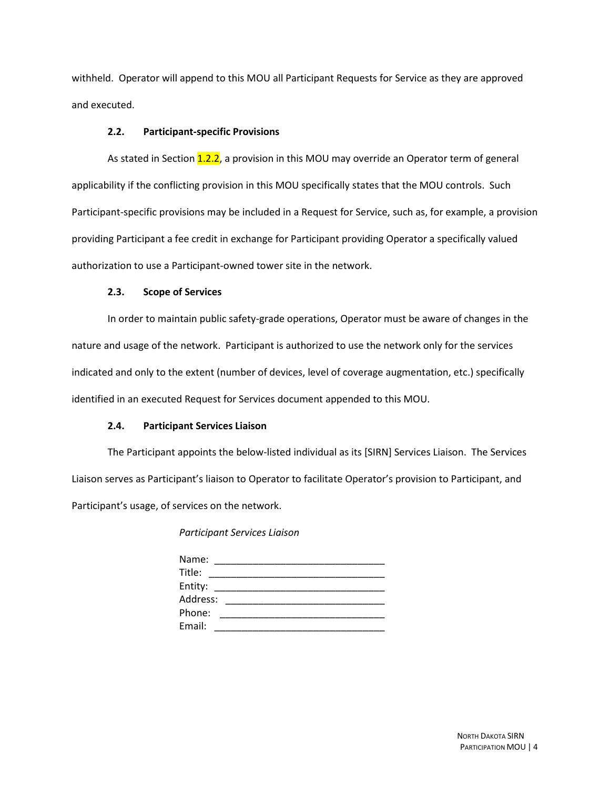withheld. Operator will append to this MOU all Participant Requests for Service as they are approved and executed.

#### **2.2. Participant-specific Provisions**

As stated in Section 1.2.2, a provision in this MOU may override an Operator term of general applicability if the conflicting provision in this MOU specifically states that the MOU controls. Such Participant-specific provisions may be included in a Request for Service, such as, for example, a provision providing Participant a fee credit in exchange for Participant providing Operator a specifically valued authorization to use a Participant-owned tower site in the network.

#### **2.3. Scope of Services**

In order to maintain public safety-grade operations, Operator must be aware of changes in the nature and usage of the network. Participant is authorized to use the network only for the services indicated and only to the extent (number of devices, level of coverage augmentation, etc.) specifically identified in an executed Request for Services document appended to this MOU.

#### **2.4. Participant Services Liaison**

The Participant appoints the below-listed individual as its [SIRN] Services Liaison. The Services Liaison serves as Participant's liaison to Operator to facilitate Operator's provision to Participant, and Participant's usage, of services on the network.

*Participant Services Liaison*

| Name:    |  |
|----------|--|
| Title:   |  |
| Entity:  |  |
| Address: |  |
| Phone:   |  |
| Email:   |  |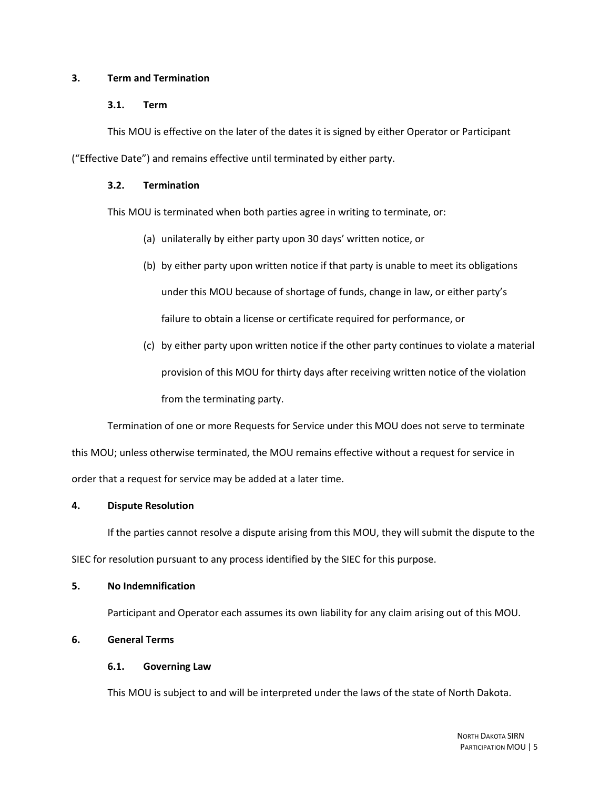#### **3. Term and Termination**

#### **3.1. Term**

This MOU is effective on the later of the dates it is signed by either Operator or Participant

("Effective Date") and remains effective until terminated by either party.

#### **3.2. Termination**

This MOU is terminated when both parties agree in writing to terminate, or:

- (a) unilaterally by either party upon 30 days' written notice, or
- (b) by either party upon written notice if that party is unable to meet its obligations under this MOU because of shortage of funds, change in law, or either party's failure to obtain a license or certificate required for performance, or
- (c) by either party upon written notice if the other party continues to violate a material provision of this MOU for thirty days after receiving written notice of the violation from the terminating party.

Termination of one or more Requests for Service under this MOU does not serve to terminate this MOU; unless otherwise terminated, the MOU remains effective without a request for service in order that a request for service may be added at a later time.

#### **4. Dispute Resolution**

If the parties cannot resolve a dispute arising from this MOU, they will submit the dispute to the SIEC for resolution pursuant to any process identified by the SIEC for this purpose.

#### **5. No Indemnification**

Participant and Operator each assumes its own liability for any claim arising out of this MOU.

## **6. General Terms**

#### **6.1. Governing Law**

This MOU is subject to and will be interpreted under the laws of the state of North Dakota.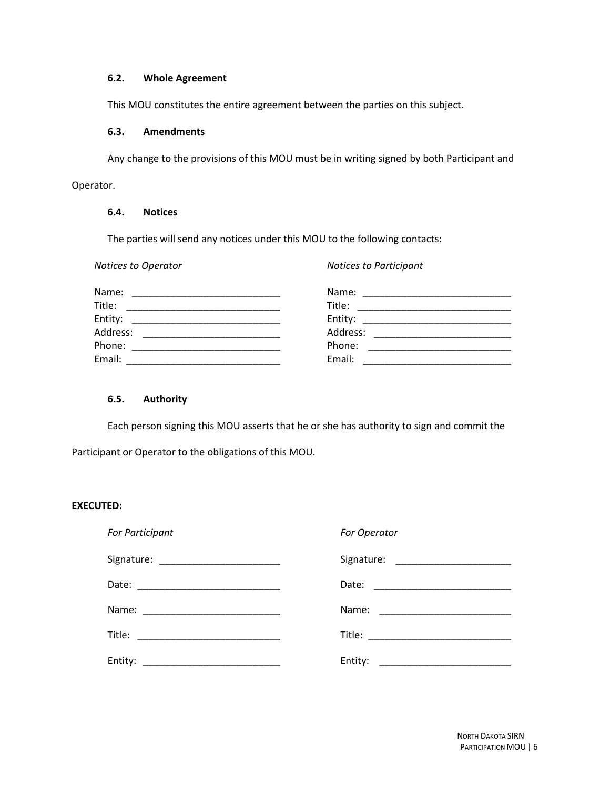# **6.2. Whole Agreement**

This MOU constitutes the entire agreement between the parties on this subject.

#### **6.3. Amendments**

Any change to the provisions of this MOU must be in writing signed by both Participant and Operator.

#### **6.4. Notices**

The parties will send any notices under this MOU to the following contacts:

| Notices to Operator                                                                                                                                                                                                                     | <b>Notices to Participant</b> |
|-----------------------------------------------------------------------------------------------------------------------------------------------------------------------------------------------------------------------------------------|-------------------------------|
| Name:                                                                                                                                                                                                                                   | Name:                         |
| Title:<br>the control of the control of the control of the control of the control of the control of the control of the control of the control of the control of the control of the control of the control of the control of the control | Title:                        |
| Entity:<br><u> 1989 - Johann John Harrison, mars eta bat eta bat e</u>                                                                                                                                                                  |                               |
| Address:<br>the control of the control of the control of the control of the control of the control of                                                                                                                                   | Address:                      |
| Phone:                                                                                                                                                                                                                                  | Phone:                        |
| Email:                                                                                                                                                                                                                                  | Email:                        |

# **6.5. Authority**

Each person signing this MOU asserts that he or she has authority to sign and commit the

Participant or Operator to the obligations of this MOU.

# **EXECUTED:**

| For Participant | For Operator |
|-----------------|--------------|
|                 |              |
|                 |              |
|                 |              |
|                 |              |
|                 | Entity:      |